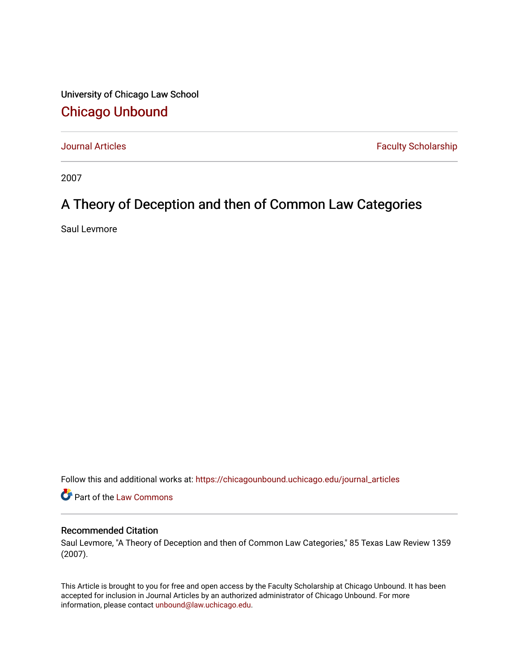University of Chicago Law School [Chicago Unbound](https://chicagounbound.uchicago.edu/)

[Journal Articles](https://chicagounbound.uchicago.edu/journal_articles) **Faculty Scholarship Faculty Scholarship** 

2007

# A Theory of Deception and then of Common Law Categories

Saul Levmore

Follow this and additional works at: [https://chicagounbound.uchicago.edu/journal\\_articles](https://chicagounbound.uchicago.edu/journal_articles?utm_source=chicagounbound.uchicago.edu%2Fjournal_articles%2F1572&utm_medium=PDF&utm_campaign=PDFCoverPages) 

Part of the [Law Commons](http://network.bepress.com/hgg/discipline/578?utm_source=chicagounbound.uchicago.edu%2Fjournal_articles%2F1572&utm_medium=PDF&utm_campaign=PDFCoverPages)

#### Recommended Citation

Saul Levmore, "A Theory of Deception and then of Common Law Categories," 85 Texas Law Review 1359 (2007).

This Article is brought to you for free and open access by the Faculty Scholarship at Chicago Unbound. It has been accepted for inclusion in Journal Articles by an authorized administrator of Chicago Unbound. For more information, please contact [unbound@law.uchicago.edu](mailto:unbound@law.uchicago.edu).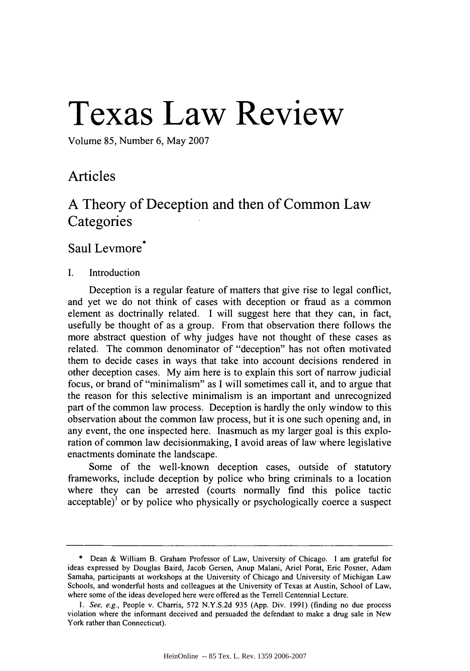# **Texas Law Review**

Volume 85, Number 6, May 2007

## Articles

## **A** Theory of Deception and then of Common Law **Categories**

### Saul Levmore<sup>\*</sup>

#### I. Introduction

Deception is a regular feature of matters that give rise to legal conflict, and yet we do not think of cases with deception or fraud as a common element as doctrinally related. I will suggest here that they can, in fact, usefully be thought of as a group. From that observation there follows the more abstract question of why judges have not thought of these cases as related. The common denominator of "deception" has not often motivated them to decide cases in ways that take into account decisions rendered in other deception cases. My aim here is to explain this sort of narrow judicial focus, or brand of "minimalism" as I will sometimes call it, and to argue that the reason for this selective minimalism is an important and unrecognized part of the common law process. Deception is hardly the only window to this observation about the common law process, but it is one such opening and, in any event, the one inspected here. Inasmuch as my larger goal is this exploration of common law decisionmaking, I avoid areas of law where legislative enactments dominate the landscape.

Some of the well-known deception cases, outside of statutory frameworks, include deception by police who bring criminals to a location where they can be arrested (courts normally find this police tactic acceptable)<sup>1</sup> or by police who physically or psychologically coerce a suspect

<sup>\*</sup> Dean & William B. Graham Professor of Law, University of Chicago. I am grateful for ideas expressed by Douglas Baird, Jacob Gersen, Anup Malani, Ariel Porat, Eric Posner, Adam Samaha, participants at workshops at the University of Chicago and University of Michigan Law Schools, and wonderful hosts and colleagues at the University of Texas at Austin, School of Law, where some of the ideas developed here were offered as the Terrell Centennial Lecture.

*<sup>1.</sup>* See, e.g., People v. Charris, 572 N.Y.S.2d 935 (App. Div. 1991) (finding no due process violation where the informant deceived and persuaded the defendant to make a drug sale in New York rather than Connecticut).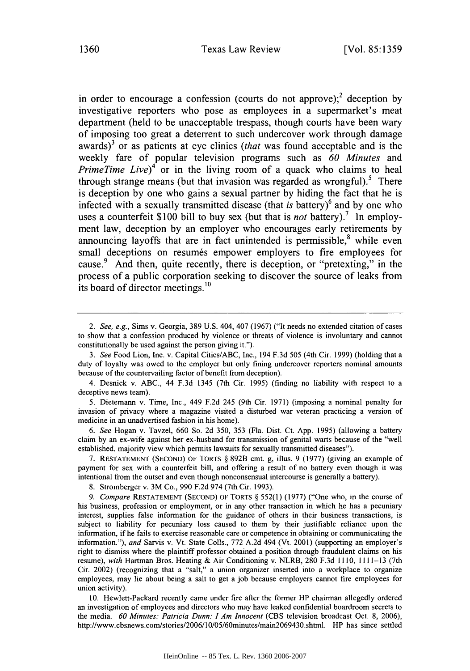in order to encourage a confession (courts do not approve);<sup>2</sup> deception by investigative reporters who pose as employees in a supermarket's meat department (held to be unacceptable trespass, though courts have been wary of imposing too great a deterrent to such undercover work through damage awards) 3 or as patients at eye clinics *(that* was found acceptable and is the weekly fare of popular television programs such as *60 Minutes* and *PrimeTime Live*<sup> $4$ </sup> or in the living room of a quack who claims to heal through strange means (but that invasion was regarded as wrongful).<sup>5</sup> There is deception **by** one who gains a sexual partner **by** hiding the fact that he is infected with a sexually transmitted disease (that *is* battery) 6 and **by** one who uses a counterfeit **\$100** bill to buy sex (but that is *not* battery).' In employment law, deception **by** an employer who encourages early retirements **by** announcing layoffs that are in fact unintended is permissible, $<sup>8</sup>$  while even</sup> small deceptions on resumés empower employers to fire employees for cause.<sup>9</sup> And then, quite recently, there is deception, or "pretexting," in the process of a public corporation seeking to discover the source of leaks from its board of director meetings.<sup>10</sup>

*3. See* Food Lion, Inc. v. Capital Cities/ABC, Inc., 194 F.3d 505 (4th Cir. 1999) (holding that a duty of loyalty was owed to the employer but only fining undercover reporters nominal amounts because of the countervailing factor of benefit from deception).

4. Desnick v. ABC., 44 F.3d 1345 (7th Cir. 1995) (finding no liability with respect to a deceptive news team).

5. Dietemann v. Time, Inc., 449 F.2d 245 (9th Cir. 1971) (imposing a nominal penalty for invasion of privacy where a magazine visited a disturbed war veteran practicing a version of medicine in an unadvertised fashion in his home).

*6. See* Hogan v. Tavzel, 660 So. 2d 350, 353 (Fla. Dist. Ct. App. 1995) (allowing a battery claim by an ex-wife against her ex-husband for transmission of genital warts because of the "well established, majority view which permits lawsuits for sexually transmitted diseases").

7. RESTATEMENT (SECOND) OF TORTS § 892B cmt. g, illus. 9 (1977) (giving an example of payment for sex with a counterfeit bill, and offering a result of no battery even though it was intentional from the outset and even though nonconsensual intercourse is generally a battery).

8. Stromberger v. 3M Co., 990 F.2d 974 (7th Cir. 1993).

*9. Compare* RESTATEMENT (SECOND) OF TORTS § 552(1) (1977) ("One who, in the course of his business, profession or employment, or in any other transaction in which he has a pecuniary interest, supplies false information for the guidance of others in their business transactions, is subject to liability for pecuniary loss caused to them by their justifiable reliance upon the information, if he fails to exercise reasonable care or competence in obtaining or communicating the information."), *and* Sarvis v. Vt. State Coils., 772 A.2d 494 (Vt. 2001) (supporting an employer's right to dismiss where the plaintiff professor obtained a position through fraudulent claims on his resume), *with* Hartman Bros. Heating & Air Conditioning v. NLRB, 280 F.3d 1110, 1111-13 (7th Cir. 2002) (recognizing that a "salt," a union organizer inserted into a workplace to organize employees, may lie about being a salt to get a job because employers cannot fire employees for union activity).

10. Hewlett-Packard recently came under fire after the former HP chairman allegedly ordered an investigation of employees and directors who may have leaked confidential boardroom secrets to the media. *60 Minutes: Patricia Dunn: I Am Innocent* (CBS television broadcast Oct. 8, 2006), http://www.cbsnews.com/stories/2006/l0/05/60minutes/main2069430.shtml. HP has since settled

*<sup>2.</sup> See, e.g.,* Sims v. Georgia, 389 U.S. 404, 407 (1967) ("It needs no extended citation of cases to show that a confession produced by violence or threats of violence is involuntary and cannot constitutionally be used against the person giving it.").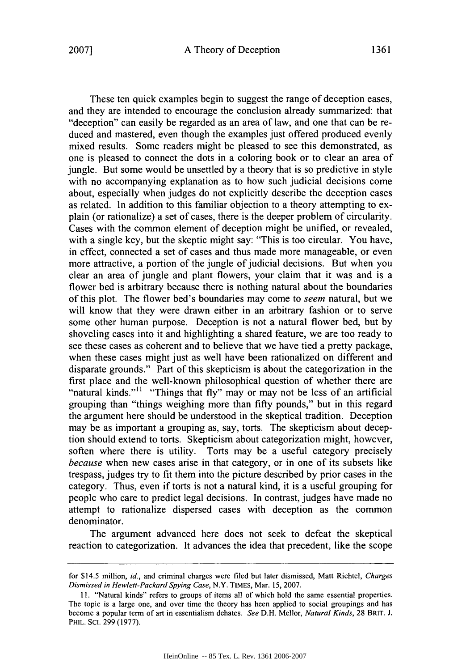These ten quick examples begin to suggest the range of deception cases, and they are intended to encourage the conclusion already summarized: that "deception" can easily be regarded as an area of law, and one that can be reduced and mastered, even though the examples just offered produced evenly mixed results. Some readers might be pleased to see this demonstrated, as one is pleased to connect the dots in a coloring book or to clear an area of jungle. But some would be unsettled by a theory that is so predictive in style with no accompanying explanation as to how such judicial decisions come about, especially when judges do not explicitly describe the deception cases as related. In addition to this familiar objection to a theory attempting to explain (or rationalize) a set of cases, there is the deeper problem of circularity. Cases with the common element of deception might be unified, or revealed, with a single key, but the skeptic might say: "This is too circular. You have, in effect, connected a set of cases and thus made more manageable, or even more attractive, a portion of the jungle of judicial decisions. But when you clear an area of jungle and plant flowers, your claim that it was and is a flower bed is arbitrary because there is nothing natural about the boundaries of this plot. The flower bed's boundaries may come to *seem* natural, but we will know that they were drawn either in an arbitrary fashion or to serve some other human purpose. Deception is not a natural flower bed, but by shoveling cases into it and highlighting a shared feature, we are too ready to see these cases as coherent and to believe that we have tied a pretty package, when these cases might just as well have been rationalized on different and disparate grounds." Part of this skepticism is about the categorization in the first place and the well-known philosophical question of whether there are "natural kinds."<sup>11</sup> "Things that fly" may or may not be less of an artificial grouping than "things weighing more than fifty pounds," but in this regard the argument here should be understood in the skeptical tradition. Deception may be as important a grouping as, say, torts. The skepticism about deception should extend to torts. Skepticism about categorization might, however, soften where there is utility. Torts may be a useful category precisely *because* when new cases arise in that category, or in one of its subsets like trespass, judges try to fit them into the picture described by prior cases in the category. Thus, even if torts is not a natural kind, it is a useful grouping for people who care to predict legal decisions. In contrast, judges have made no attempt to rationalize dispersed cases with deception as the common denominator.

The argument advanced here does not seek to defeat the skeptical reaction to categorization. It advances the idea that precedent, like the scope

for \$14.5 million, *id.,* and criminal charges were filed but later dismissed, Matt Richtel, *Charges Dismissed in Hewlett-Packard Spying Case,* N.Y. TIMES, Mar. 15, 2007.

<sup>11. &</sup>quot;Natural kinds" refers to groups of items all of which hold the same essential properties. The topic is a large one, and over time the theory has been applied to social groupings and has become a popular term of art in essentialism debates. *See* D.H. Mellor, *Natural Kinds,* 28 BRIT. J. PHIL. SCI. 299 (1977).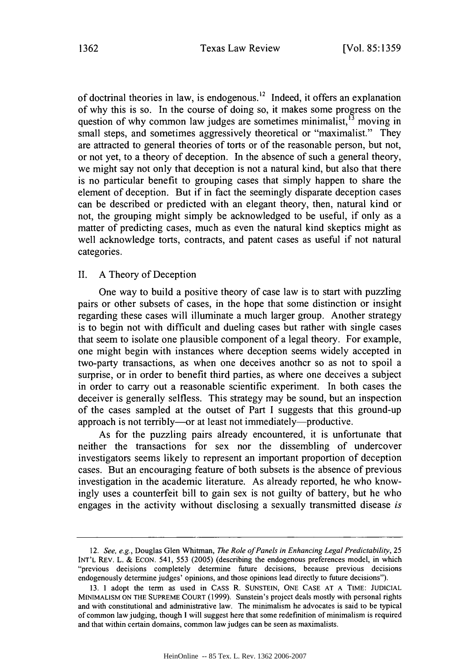of doctrinal theories in law, is endogenous.<sup>12</sup> Indeed, it offers an explanation of why this is so. In the course of doing so, it makes some progress on the question of why common law judges are sometimes minimalist,<sup>13</sup> moving in small steps, and sometimes aggressively theoretical or "maximalist." They are attracted to general theories of torts or of the reasonable person, but not, or not yet, to a theory of deception. In the absence of such a general theory, we might say not only that deception is not a natural kind, but also that there is no particular benefit to grouping cases that simply happen to share the element of deception. But if in fact the seemingly disparate deception cases can be described or predicted with an elegant theory, then, natural kind or not, the grouping might simply be acknowledged to be useful, if only as a matter of predicting cases, much as even the natural kind skeptics might as well acknowledge torts, contracts, and patent cases as useful if not natural categories.

#### II. A Theory of Deception

One way to build a positive theory of case law is to start with puzzling pairs or other subsets of cases, in the hope that some distinction or insight regarding these cases will illuminate a much larger group. Another strategy is to begin not with difficult and dueling cases but rather with single cases that seem to isolate one plausible component of a legal theory. For example, one might begin with instances where deception seems widely accepted in two-party transactions, as when one deceives another so as not to spoil a surprise, or in order to benefit third parties, as where one deceives a subject in order to carry out a reasonable scientific experiment. In both cases the deceiver is generally selfless. This strategy may be sound, but an inspection of the cases sampled at the outset of Part I suggests that this ground-up approach is not terribly—or at least not immediately—productive.

As for the puzzling pairs already encountered, it is unfortunate that neither the transactions for sex nor the dissembling of undercover investigators seems likely to represent an important proportion of deception cases. But an encouraging feature of both subsets is the absence of previous investigation in the academic literature. As already reported, he who knowingly uses a counterfeit bill to gain sex is not guilty of battery, but he who engages in the activity without disclosing a sexually transmitted disease *is*

<sup>12.</sup> *See, e.g.,* Douglas Glen Whitman, *The Role of Panels in Enhancing Legal Predictability,* <sup>25</sup> INT'L REV. L. & ECON. 541, 553 (2005) (describing the endogenous preferences model, in which "previous decisions completely determine future decisions, because previous decisions endogenously determine judges' opinions, and those opinions lead directly to future decisions").

<sup>13.</sup> I adopt the term as used in CASS R. SUNSTEIN, ONE CASE **AT A** TIME: **JUDICIAL** MINIMALISM ON THE SUPREME COURT (1999). Sunstein's project deals mostly with personal rights and with constitutional and administrative law. The minimalism he advocates is said to be typical of common law judging, though **I** will suggest here that some redefinition of minimalism is required and that within certain domains, common law judges can be seen as maximalists.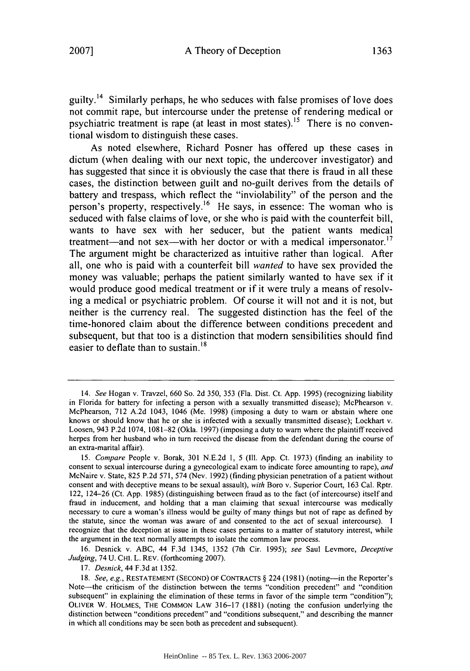guilty.<sup>14</sup> Similarly perhaps, he who seduces with false promises of love does not commit rape, but intercourse under the pretense of rendering medical or psychiatric treatment is rape (at least in most states).<sup>15</sup> There is no conventional wisdom to distinguish these cases.

As noted elsewhere, Richard Posner has offered up these cases in dictum (when dealing with our next topic, the undercover investigator) and has suggested that since it is obviously the case that there is fraud in all these cases, the distinction between guilt and no-guilt derives from the details of battery and trespass, which reflect the "inviolability" of the person and the person's property, respectively.<sup>16</sup> He says, in essence: The woman who is seduced with false claims of love, or she who is paid with the counterfeit bill, wants to have sex with her seducer, but the patient wants medical treatment—and not sex—with her doctor or with a medical impersonator.<sup>17</sup> The argument might be characterized as intuitive rather than logical. After all, one who is paid with a counterfeit bill wanted to have sex provided the money was valuable; perhaps the patient similarly wanted to have sex if it would produce good medical treatment or if it were truly a means of resolving a medical or psychiatric problem. **Of** course it will not and it is not, but neither is the currency real. The suggested distinction has the feel of the time-honored claim about the difference between conditions precedent and subsequent, but that too is a distinction that modem sensibilities should find easier to deflate than to sustain.<sup>18</sup>

16. Desnick v. ABC, 44 F.3d 1345, 1352 (7th Cir. 1995); *see* Saul Levmore, *Deceptive Judging,* 74 U. CHI. L. REV. (forthcoming 2007).

17. *Desnick,* 44 F.3d at 1352.

<sup>14.</sup> *See* Hogan v. Travzel, 660 So. 2d 350, 353 (Fla. Dist. Ct. App. 1995) (recognizing liability in Florida for battery for infecting a person with a sexually transmitted disease); McPhearson v. McPhearson, 712 A.2d 1043, 1046 (Me. 1998) (imposing a duty to warn or abstain where one knows or should know that he or she is infected with a sexually transmitted disease); Lockhart v. Loosen, 943 P.2d 1074, 1081-82 (Okla. 1997) (imposing a duty to warn where the plaintiff received herpes from her husband who in turn received the disease from the defendant during the course of an extra-marital affair).

<sup>15.</sup> *Compare* People v. Borak, 301 N.E.2d 1, 5 (Ill. App. Ct. 1973) (finding an inability to consent to sexual intercourse during a gynecological exam to indicate force amounting to rape), *and* McNaire v. State, 825 P.2d 571, 574 (Nev. 1992) (finding physician penetration of a patient without consent and with deceptive means to be sexual assault), *with* Boro v. Superior Court, 163 Cal. Rptr. 122, 124-26 (Ct. App. 1985) (distinguishing between fraud as to the fact (of intercourse) itself and fraud in inducement, and holding that a man claiming that sexual intercourse was medically necessary to cure a woman's illness would be guilty of many things but not of rape as defined by the statute, since the woman was aware of and consented to the act of sexual intercourse). I recognize that the deception at issue in these cases pertains to a matter of statutory interest, while the argument in the text normally attempts to isolate the common law process.

<sup>18.</sup> *See, e.g., RESTATEMENT* (SECOND) OF CONTRACTS § 224 (1981) (noting-in the Reporter's Note-the criticism of the distinction between the terms "condition precedent" and "condition subsequent" in explaining the elimination of these terms in favor of the simple term "condition"); OLIVER W. HOLMES, THE **COMMON** LAW 316-17 (1881) (noting the confusion underlying the distinction between "conditions precedent" and "conditions subsequent," and describing the manner in which all conditions may be seen both as precedent and subsequent).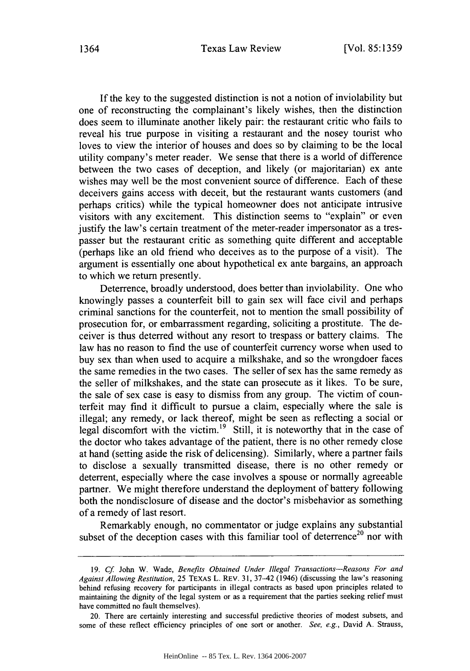#### Texas Law Review 1364 [Vol. **85:1359**

If the key to the suggested distinction is not a notion of inviolability but one of reconstructing the complainant's likely wishes, then the distinction does seem to illuminate another likely pair: the restaurant critic who fails to reveal his true purpose in visiting a restaurant and the nosey tourist who loves to view the interior of houses and does so by claiming to be the local utility company's meter reader. We sense that there is a world of difference between the two cases of deception, and likely (or majoritarian) ex ante wishes may well be the most convenient source of difference. Each of these deceivers gains access with deceit, but the restaurant wants customers (and perhaps critics) while the typical homeowner does not anticipate intrusive visitors with any excitement. This distinction seems to "explain" or even justify the law's certain treatment of the meter-reader impersonator as a trespasser but the restaurant critic as something quite different and acceptable (perhaps like an old friend who deceives as to the purpose of a visit). The argument is essentially one about hypothetical ex ante bargains, an approach to which we return presently.

Deterrence, broadly understood, does better than inviolability. One who knowingly passes a counterfeit bill to gain sex will face civil and perhaps criminal sanctions for the counterfeit, not to mention the small possibility of prosecution for, or embarrassment regarding, soliciting a prostitute. The deceiver is thus deterred without any resort to trespass or battery claims. The law has no reason to find the use of counterfeit currency worse when used to buy sex than when used to acquire a milkshake, and so the wrongdoer faces the same remedies in the two cases. The seller of sex has the same remedy as the seller of milkshakes, and the state can prosecute as it likes. To be sure, the sale of sex case is easy to dismiss from any group. The victim of counterfeit may find it difficult to pursue a claim, especially where the sale is illegal; any remedy, or lack thereof, might be seen as reflecting a social or legal discomfort with the victim.<sup>19</sup> Still, it is noteworthy that in the case of the doctor who takes advantage of the patient, there is no other remedy close at hand (setting aside the risk of delicensing). Similarly, where a partner fails to disclose a sexually transmitted disease, there is no other remedy or deterrent, especially where the case involves a spouse or normally agreeable partner. We might therefore understand the deployment of battery following both the nondisclosure of disease and the doctor's misbehavior as something of a remedy of last resort.

Remarkably enough, no commentator or judge explains any substantial subset of the deception cases with this familiar tool of deterrence<sup>20</sup> nor with

**<sup>19.</sup>** *Cf* John W. Wade, *Benefits Obtained Under Illegal Transactions-Reasons For and Against Allowing Restitution,* 25 TEXAS L. REv. **31,** 37-42 (1946) (discussing the law's reasoning behind refusing recovery for participants in illegal contracts as based upon principles related to maintaining the dignity of the legal system or as a requirement that the parties seeking relief must have committed no fault themselves).

<sup>20.</sup> There are certainly interesting and successful predictive theories of modest subsets, and some of these reflect efficiency principles of one sort or another. *See, e.g.,* David A. Strauss,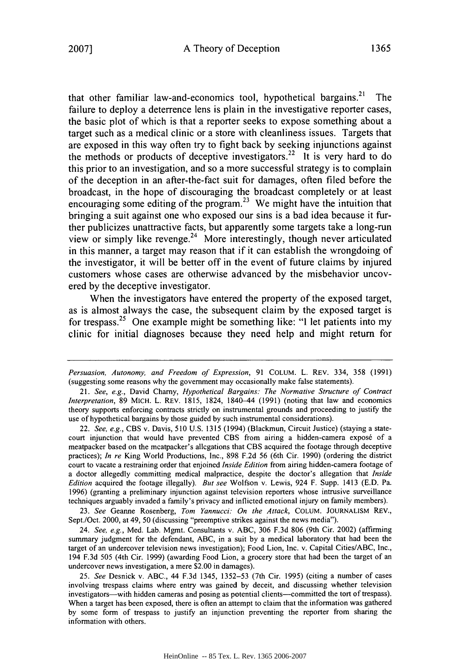that other familiar law-and-economics tool, hypothetical bargains.<sup>21</sup> ' The failure to deploy a deterrence lens is plain in the investigative reporter cases, the basic plot of which is that a reporter seeks to expose something about a target such as a medical clinic or a store with cleanliness issues. Targets that are exposed in this way often try to fight back by seeking injunctions against the methods or products of deceptive investigators.<sup>22</sup> It is very hard to do this prior to an investigation, and so a more successful strategy is to complain of the deception in an after-the-fact suit for damages, often filed before the broadcast, in the hope of discouraging the broadcast completely or at least encouraging some editing of the program.<sup>23</sup> We might have the intuition that bringing a suit against one who exposed our sins is a bad idea because it further publicizes unattractive facts, but apparently some targets take a long-run view or simply like revenge.<sup>24</sup> More interestingly, though never articulated in this manner, a target may reason that if it can establish the wrongdoing of the investigator, it will be better off in the event of future claims by injured customers whose cases are otherwise advanced by the misbehavior uncovered by the deceptive investigator.

When the investigators have entered the property of the exposed target, as is almost always the case, the subsequent claim by the exposed target is for trespass. 25 One example might be something like: "I let patients into my clinic for initial diagnoses because they need help and might return for

22. *See, e.g.,* CBS v. Davis, 510 U.S. 1315 (1994) (Blackmun, Circuit Justice) (staying a statecourt injunction that would have prevented CBS from airing a hidden-camera exposé of a meatpacker based on the meatpacker's allegations that CBS acquired the footage through deceptive practices); *In re* King World Productions, Inc., 898 F.2d 56 (6th Cir. 1990) (ordering the district court to vacate a restraining order that enjoined *Inside Edition* from airing hidden-camera footage of a doctor allegedly committing medical malpractice, despite the doctor's allegation that *Inside Edition* acquired the footage illegally). *But see* Wolfson v. Lewis, 924 F. Supp. 1413 (E.D. Pa. 1996) (granting a preliminary injunction against television reporters whose intrusive surveillance techniques arguably invaded a family's privacy and inflicted emotional injury on family members).

23. *See* Geanne Rosenberg, *Tom Yannucci: On the Attack,* COLUM. JOURNALISM REV., Sept./Oct. 2000, at 49, 50 (discussing "preemptive strikes against the news media").

24. *See, e.g.,* Med. Lab. Mgmt. Consultants v. ABC, 306 F.3d 806 (9th Cir. 2002) (affirming summary judgment for the defendant, ABC, in a suit by a medical laboratory that had been the target of an undercover television news investigation); Food Lion, Inc. v. Capital Cities/ABC, Inc., 194 F.3d 505 (4th Cir. 1999) (awarding Food Lion, a grocery store that had been the target of an undercover news investigation, a mere \$2.00 in damages).

25. *See* Desnick v. ABC., 44 F.3d 1345, 1352-53 (7th Cir. 1995) (citing a number of cases involving trespass claims where entry was gained by deceit, and discussing whether television investigators—with hidden cameras and posing as potential clients—committed the tort of trespass). When a target has been exposed, there is often an attempt to claim that the information was gathered by some form of trespass to justify an injunction preventing the reporter from sharing the information with others.

*Persuasion, Autonomy, and Freedom of Expression,* 91 COLUM. L. REV. 334, 358 (1991) (suggesting some reasons why the government may occasionally make false statements).

<sup>21.</sup> *See, e.g.,* David Chamy, *Hypothetical Bargains: The Normative Structure of Contract Interpretation,* 89 MICH. L. REV. 1815, 1824, 1840-44 (1991) (noting that law and economics theory supports enforcing contracts strictly on instrumental grounds and proceeding to justify the use of hypothetical bargains by those guided by such instrumental considerations).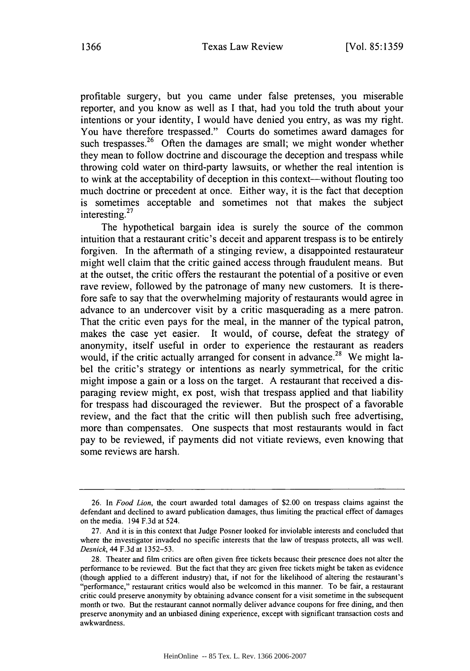profitable surgery, but you came under false pretenses, you miserable reporter, and you know as well as I that, had you told the truth about your intentions or your identity, I would have denied you entry, as was my right. You have therefore trespassed." Courts do sometimes award damages for such trespasses.<sup>26</sup> Often the damages are small; we might wonder whether they mean to follow doctrine and discourage the deception and trespass while throwing cold water on third-party lawsuits, or whether the real intention is to wink at the acceptability of deception in this context-without flouting too much doctrine or precedent at once. Either way, it is the fact that deception is sometimes acceptable and sometimes not that makes the subject interesting.<sup>27</sup>

The hypothetical bargain idea is surely the source of the common intuition that a restaurant critic's deceit and apparent trespass is to be entirely forgiven. In the aftermath of a stinging review, a disappointed restaurateur might well claim that the critic gained access through fraudulent means. But at the outset, the critic offers the restaurant the potential of a positive or even rave review, followed by the patronage of many new customers. It is therefore safe to say that the overwhelming majority of restaurants would agree in advance to an undercover visit by a critic masquerading as a mere patron. That the critic even pays for the meal, in the manner of the typical patron, makes the case yet easier. It would, of course, defeat the strategy of anonymity, itself useful in order to experience the restaurant as readers would, if the critic actually arranged for consent in advance.<sup>28</sup> We might label the critic's strategy or intentions as nearly symmetrical, for the critic might impose a gain or a loss on the target. A restaurant that received a disparaging review might, ex post, wish that trespass applied and that liability for trespass had discouraged the reviewer. But the prospect of a favorable review, and the fact that the critic will then publish such free advertising, more than compensates. One suspects that most restaurants would in fact pay to be reviewed, if payments did not vitiate reviews, even knowing that some reviews are harsh.

<sup>26.</sup> In *Food Lion,* the court awarded total damages of \$2.00 on trespass claims against the defendant and declined to award publication damages, thus limiting the practical effect of damages on the media. 194 F.3d at 524.

<sup>27.</sup> And it is in this context that Judge Posner looked for inviolable interests and concluded that where the investigator invaded no specific interests that the law of trespass protects, all was well. *Desnick,* 44 F.3d at 1352-53.

<sup>28.</sup> Theater and film critics are often given free tickets because their presence does not alter the performance to be reviewed. But the fact that they are given free tickets might be taken as evidence (though applied to a different industry) that, if not for the likelihood of altering the restaurant's "performance," restaurant critics would also **be** welcomed in this manner. To be fair, a restaurant critic could preserve anonymity by obtaining advance consent for a visit sometime in the subsequent month or two. But the restaurant cannot normally deliver advance coupons for free dining, and then preserve anonymity and an unbiased dining experience, except with significant transaction costs and awkwardness.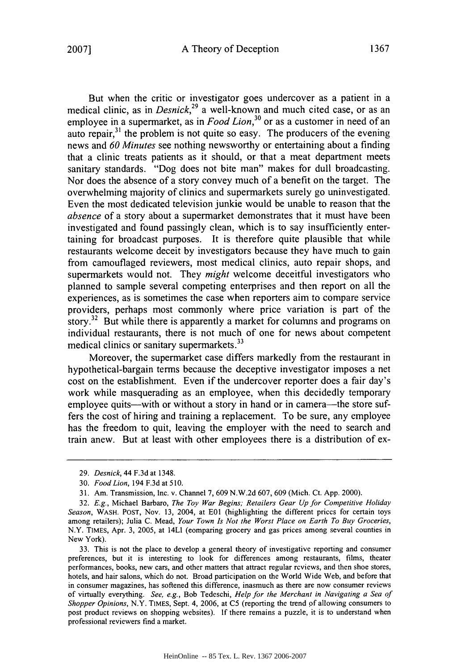But when the critic or investigator goes undercover as a patient in a medical clinic, as in *Desnick*<sup>29</sup> a well-known and much cited case, or as an employee in a supermarket, as in *Food Lion*,<sup>30</sup> or as a customer in need of an auto repair, $3<sup>1</sup>$  the problem is not quite so easy. The producers of the evening news and *60 Minutes* see nothing newsworthy or entertaining about a finding that a clinic treats patients as it should, or that a meat department meets sanitary standards. "Dog does not bite man" makes for dull broadcasting. Nor does the absence of a story convey much of a benefit on the target. The overwhelming majority of clinics and supermarkets surely go uninvestigated. Even the most dedicated television junkie would be unable to reason that the *absence* of a story about a supermarket demonstrates that it must have been investigated and found passingly clean, which is to say insufficiently entertaining for broadcast purposes. It is therefore quite plausible that while restaurants welcome deceit by investigators because they have much to gain from camouflaged reviewers, most medical clinics, auto repair shops, and supermarkets would not. They *might* welcome deceitful investigators who planned to sample several competing enterprises and then report on all the experiences, as is sometimes the case when reporters aim to compare service providers, perhaps most commonly where price variation is part of the story.<sup>32</sup> But while there is apparently a market for columns and programs on individual restaurants, there is not much of one for news about competent medical clinics or sanitary supermarkets.<sup>33</sup>

Moreover, the supermarket case differs markedly from the restaurant in hypothetical-bargain terms because the deceptive investigator imposes a net cost on the establishment. Even if the undercover reporter does a fair day's work while masquerading as an employee, when this decidedly temporary employee quits—with or without a story in hand or in camera—the store suffers the cost of hiring and training a replacement. To be sure, any employee has the freedom to quit, leaving the employer with the need to search and train anew. But at least with other employees there is a distribution of ex-

<sup>29.</sup> Desnick, 44 F.3d at 1348.

<sup>30.</sup> *Food Lion,* 194 F.3d at 510.

<sup>31.</sup> Am. Transmission, Inc. v. Channel 7, 609 N.W.2d 607, 609 (Mich. Ct. App. 2000).

<sup>32.</sup> *E.g.,* Michael Barbaro, *The Toy War Begins; Retailers Gear Up for Competitive Holiday Season,* WASH. POST, Nov. 13, 2004, at **E01** (highlighting the different prices for certain toys among retailers); Julia C. Mead, *Your Town Is Not the Worst Place on Earth To Buy Groceries,* N.Y. TIMES, Apr. 3, 2005, at 14LI (comparing grocery and gas prices among several counties in New York).

<sup>33.</sup> This is not the place to develop a general theory of investigative reporting and consumer preferences, but it is interesting to look for differences among restaurants, films, theater performances, books, new cars, and other matters that attract regular reviews, and then shoe stores, hotels, and hair salons, which do not. Broad participation on the World Wide Web, and before that in consumer magazines, has softened this difference, inasmuch as there are now consumer reviews of virtually everything. *See, e.g.,* Bob Tedeschi, *Help for the Merchant in Navigating a Sea of Shopper Opinions,* N.Y. TIMES, Sept. 4, 2006, at **C5** (reporting the trend of allowing consumers to post product reviews on shopping websites). If there remains a puzzle, it is to understand when professional reviewers find a market.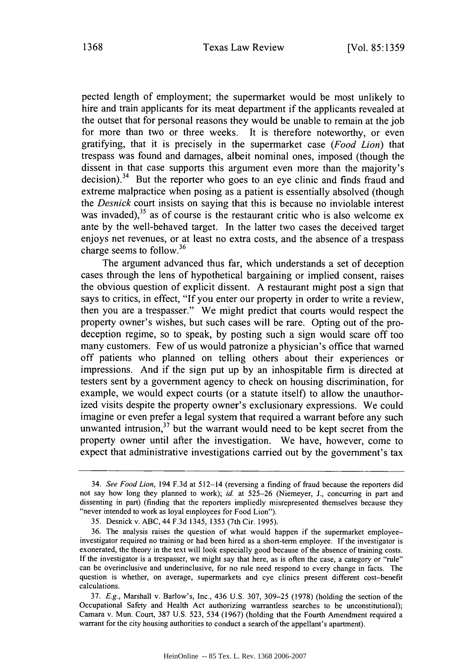pected length of employment; the supermarket would be most unlikely to hire and train applicants for its meat department if the applicants revealed at the outset that for personal reasons they would be unable to remain at the job for more than two or three weeks. It is therefore noteworthy, or even gratifying, that it is precisely in the supermarket case *(Food Lion)* that trespass was found and damages, albeit nominal ones, imposed (though the dissent in that case supports this argument even more than the majority's decision).<sup>34</sup> But the reporter who goes to an eye clinic and finds fraud and extreme malpractice when posing as a patient is essentially absolved (though the *Desnick* court insists on saying that this is because no inviolable interest was invaded), $35$  as of course is the restaurant critic who is also welcome ex ante by the well-behaved target. In the latter two cases the deceived target enjoys net revenues, or at least no extra costs, and the absence of a trespass charge seems to follow.<sup>36</sup>

The argument advanced thus far, which understands a set of deception cases through the lens of hypothetical bargaining or implied consent, raises the obvious question of explicit dissent. A restaurant might post a sign that says to critics, in effect, "If you enter our property in order to write a review, then you are a trespasser." We might predict that courts would respect the property owner's wishes, but such cases will be rare. Opting out of the prodeception regime, so to speak, by posting such a sign would scare off too many customers. Few of us would patronize a physician's office that warned off patients who planned on telling others about their experiences or impressions. And if the sign put up by an inhospitable firm is directed at testers sent by a government agency to check on housing discrimination, for example, we would expect courts (or a statute itself) to allow the unauthorized visits despite the property owner's exclusionary expressions. We could imagine or even prefer a legal system that required a warrant before any such unwanted intrusion,<sup>37</sup> but the warrant would need to be kept secret from the property owner until after the investigation. We have, however, come to expect that administrative investigations carried out by the government's tax

<sup>34.</sup> *See Food Lion,* 194 F.3d at 512-14 (reversing a finding of fraud because the reporters did not say how long they planned to work); *id.* at 525-26 (Niemeyer, J., concurring in part and dissenting in part) (finding that the reporters impliedly misrepresented themselves because they "never intended to work as loyal employees for Food Lion").

<sup>35.</sup> Desnick v. ABC, 44 F.3d 1345, 1353 (7th Cir. 1995).

<sup>36.</sup> The analysis raises the question of what would happen if the supermarket employeeinvestigator required no training or had been hired as a short-term employee. If the investigator is exonerated, the theory in the text will look especially good because of the absence of training costs. If the investigator is a trespasser, we might say that here, as is often the case, a category or "rule" can be overinclusive and underinclusive, for no rule need respond to every change in facts. The question is whether, on average, supermarkets and eye clinics present different cost-benefit calculations.

<sup>37.</sup> *E.g.,* Marshall v. Barlow's, Inc., 436 U.S. 307, 309-25 (1978) (holding the section of the Occupational Safety and Health Act authorizing warrantless searches to be unconstitutional); Camara v. Mun. Court, 387 U.S. 523, 534 (1967) (holding that the Fourth Amendment required a warrant for the city housing authorities to conduct a search of the appellant's apartment).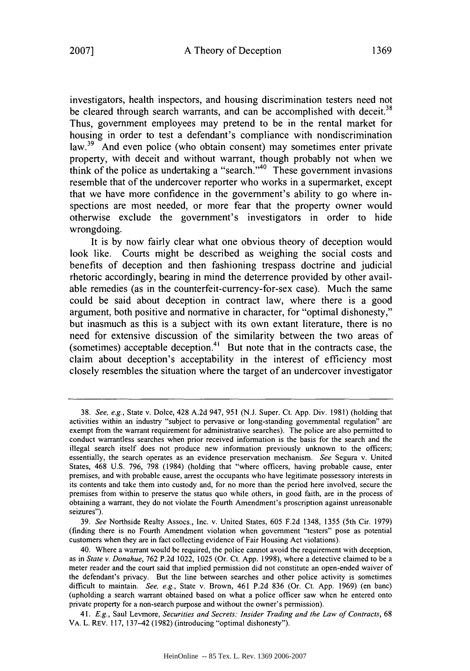investigators, health inspectors, and housing discrimination testers need not be cleared through search warrants, and can be accomplished with deceit.<sup>38</sup> Thus, government employees may pretend to be in the rental market for housing in order to test a defendant's compliance with nondiscrimination law.<sup>39</sup> And even police (who obtain consent) may sometimes enter private property, with deceit and without warrant, though probably not when we think of the police as undertaking a "search."<sup>40</sup> These government invasions resemble that of the undercover reporter who works in a supermarket, except that we have more confidence in the government's ability to go where inspections are most needed, or more fear that the property owner would otherwise exclude the government's investigators in order to hide wrongdoing.

It is **by** now fairly clear what one obvious theory of deception would look like. Courts might be described as weighing the social costs and benefits of deception and then fashioning trespass doctrine and judicial rhetoric accordingly, bearing in mind the deterrence provided **by** other available remedies (as in the counterfeit-currency-for-sex case). Much the same could be said about deception in contract law, where there is a good argument, both positive and normative in character, for "optimal dishonesty," but inasmuch as this is a subject with its own extant literature, there is no need for extensive discussion of the similarity between the two areas of (sometimes) acceptable deception.<sup>41</sup> But note that in the contracts case, the claim about deception's acceptability in the interest of efficiency most closely resembles the situation where the target of an undercover investigator

39. *See* Northside Realty Assocs., Inc. v. United States, 605 F.2d 1348, 1355 (5th Cir. 1979) (finding there is no Fourth Amendment violation when government "testers" pose as potential customers when they are in fact collecting evidence of Fair Housing Act violations).

<sup>38.</sup> *See, e.g.,* State v. Dolce, 428 A.2d 947, 951 (N.J. Super. Ct. App. Div. 1981) (holding that activities within an industry "subject to pervasive or long-standing governmental regulation" are exempt from the warrant requirement for administrative searches). The police are also permitted to conduct warrantless searches when prior received information is the basis for the search and the illegal search itself does not produce new information previously unknown to the officers; essentially, the search operates as an evidence preservation mechanism. *See* Segura v. United States, 468 U.S. 796, 798 (1984) (holding that "where officers, having probable cause, enter premises, and with probable cause, arrest the occupants who have legitimate possessory interests in its contents and take them into custody and, for no more than the period here involved, secure the premises from within to preserve the status quo while others, in good faith, are in the process of obtaining a warrant, they do not violate the Fourth Amendment's proscription against unreasonable seizures").

<sup>40.</sup> Where a warrant would be required, the police cannot avoid the requirement with deception, as in *State v. Donahue,* 762 P.2d 1022, 1025 (Or. Ct. App. 1998), where a detective claimed to be a meter reader and the court said that implied permission did not constitute an open-ended waiver of the defendant's privacy. But the line between searches and other police activity is sometimes difficult to maintain. *See, e.g.,* State v. Brown, 461 P.2d 836 (Or. Ct. App. 1969) (en banc) (upholding a search warrant obtained based on what a police officer saw when he entered onto private property for a non-search purpose and without the owner's permission).

<sup>41.</sup> *E.g.,* Saul Levmore, *Securities and Secrets: Insider Trading and the Law of Contracts,* 68 VA. L. REv. 117, 137-42 (1982) (introducing "optimal dishonesty").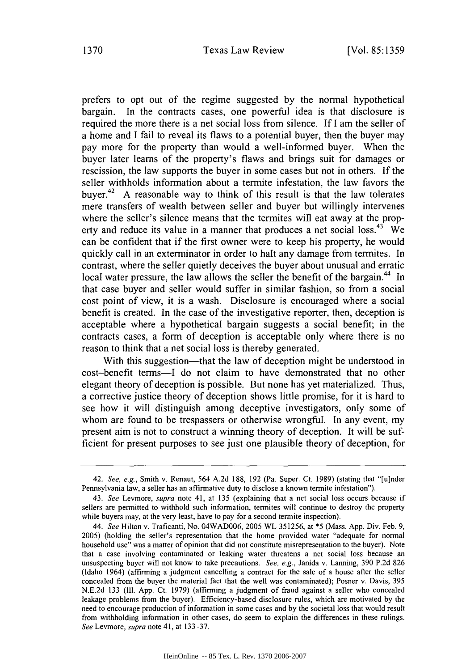prefers to opt out of the regime suggested by the normal hypothetical bargain. In the contracts cases, one powerful idea is that disclosure is required the more there is a net social loss from silence. If I am the seller of a home and I fail to reveal its flaws to a potential buyer, then the buyer may pay more for the property than would a well-informed buyer. When the buyer later learns of the property's flaws and brings suit for damages or rescission, the law supports the buyer in some cases but not in others. If the seller withholds information about a termite infestation, the law favors the buver.<sup>42</sup> A reasonable way to think of this result is that the law tolerates mere transfers of wealth between seller and buyer but willingly intervenes where the seller's silence means that the termites will eat away at the property and reduce its value in a manner that produces a net social  $\cos^{43}$  We can be confident that if the first owner were to keep his property, he would quickly call in an exterminator in order to halt any damage from termites. In contrast, where the seller quietly deceives the buyer about unusual and erratic local water pressure, the law allows the seller the benefit of the bargain.<sup>44</sup> In that case buyer and seller would suffer in similar fashion, so from a social cost point of view, it is a wash. Disclosure is encouraged where a social benefit is created. In the case of the investigative reporter, then, deception is acceptable where a hypothetical bargain suggests a social benefit; in the contracts cases, a form of deception is acceptable only where there is no reason to think that a net social loss is thereby generated.

With this suggestion—that the law of deception might be understood in cost-benefit terms-I do not claim to have demonstrated that no other elegant theory of deception is possible. But none has yet materialized. Thus, a corrective justice theory of deception shows little promise, for it is hard to see how it will distinguish among deceptive investigators, only some of whom are found to be trespassers or otherwise wrongful. In any event, my present aim is not to construct a winning theory of deception. It will be sufficient for present purposes to see just one plausible theory of deception, for

<sup>42.</sup> *See, e.g.,* Smith v. Renaut, 564 A.2d 188, 192 (Pa. Super. Ct. 1989) (stating that "[u]nder Pennsylvania law, a seller has an affirmative duty to disclose a known termite infestation").

<sup>43.</sup> *See* Levmore, *supra* note 41, at 135 (explaining that a net social loss occurs because if sellers are permitted to withhold such information, termites will continue to destroy the property while buyers may, at the very least, have to pay for a second termite inspection).

<sup>44.</sup> *See* Hilton v. Traficanti, No. 04WAD006, 2005 WL 351256, at \*5 (Mass. App. Div. Feb. 9, 2005) (holding the seller's representation that the home provided water "adequate for normal household use" was a matter of opinion that did not constitute misrepresentation to the buyer). Note that a case involving contaminated or leaking water threatens a net social loss because an unsuspecting buyer will not know to take precautions. *See, e.g.,* Janida v. Lanning, 390 P.2d 826 (Idaho 1964) (affirming a judgment cancelling a contract for the sale of a house after the seller concealed from the buyer the material fact that the well was contaminated); Posner v. Davis, 395 N.E.2d 133 **(I1.** App. Ct. 1979) (affirming a judgment of fraud against a seller who concealed leakage problems from the buyer). Efficiency-based disclosure rules, which are motivated by the need to encourage production of information in some cases and by the societal loss that would result from withholding information in other cases, do seem to explain the differences in these rulings. *See* Levmore, *supra* note 41, at 133-37.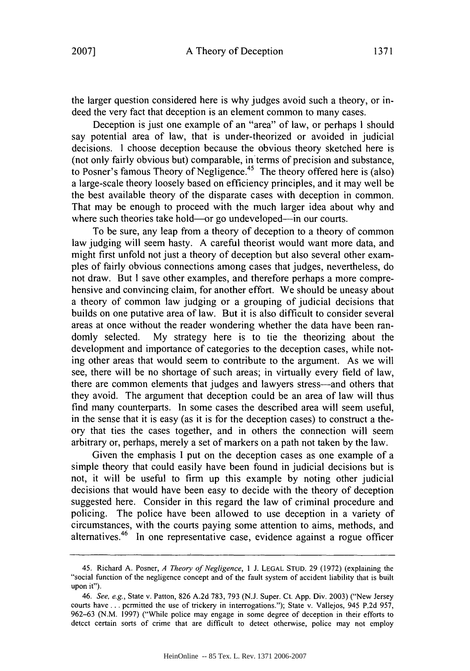the larger question considered here is why judges avoid such a theory, or indeed the very fact that deception is an element common to many cases.

Deception is just one example of an "area" of law, or perhaps I should say potential area of law, that is under-theorized or avoided in judicial decisions. I choose deception because the obvious theory sketched here is (not only fairly obvious but) comparable, in terms of precision and substance, to Posner's famous Theory of Negligence. 45 The theory offered here is (also) a large-scale theory loosely based on efficiency principles, and it may well be the best available theory of the disparate cases with deception in common. That may be enough to proceed with the much larger idea about why and where such theories take hold—or go undeveloped—in our courts.

To be sure, any leap from a theory of deception to a theory of common law judging will seem hasty. A careful theorist would want more data, and might first unfold not just a theory of deception but also several other examples of fairly obvious connections among cases that judges, nevertheless, do not draw. But I save other examples, and therefore perhaps a more comprehensive and convincing claim, for another effort. We should be uneasy about a theory of common law judging or a grouping of judicial decisions that builds on one putative area of law. But it is also difficult to consider several areas at once without the reader wondering whether the data have been randomly selected. My strategy here is to tie the theorizing about the development and importance of categories to the deception cases, while noting other areas that would seem to contribute to the argument. As we will see, there will be no shortage of such areas; in virtually every field of law, there are common elements that judges and lawyers stress-and others that they avoid. The argument that deception could be an area of law will thus find many counterparts. In some cases the described area will seem useful, in the sense that it is easy (as it is for the deception cases) to construct a theory that ties the cases together, and in others the connection will seem arbitrary or, perhaps, merely a set of markers on a path not taken by the law.

Given the emphasis I put on the deception cases as one example of a simple theory that could easily have been found in judicial decisions but is not, it will be useful to firm up this example by noting other judicial decisions that would have been easy to decide with the theory of deception suggested here. Consider in this regard the law of criminal procedure and policing. The police have been allowed to use deception in a variety of circumstances, with the courts paying some attention to aims, methods, and alternatives.<sup>46</sup> In one representative case, evidence against a rogue officer

<sup>45.</sup> Richard A. Posner, *A Theory of Negligence,* 1 J. LEGAL STUD. 29 (1972) (explaining the "social function of the negligence concept and of the fault system of accident liability that is built upon it").

<sup>46.</sup> *See, e.g.,* State v. Patton, 826 A.2d 783, 793 (N.J. Super. Ct. App. Div. 2003) ("New Jersey courts have **...** permitted the use of trickery in interrogations."); State v. Vallejos, 945 P.2d 957, 962-63 (N.M. 1997) ("While police may engage in some degree of deception in their efforts to detect certain sorts of crime that are difficult to detect otherwise, police may not employ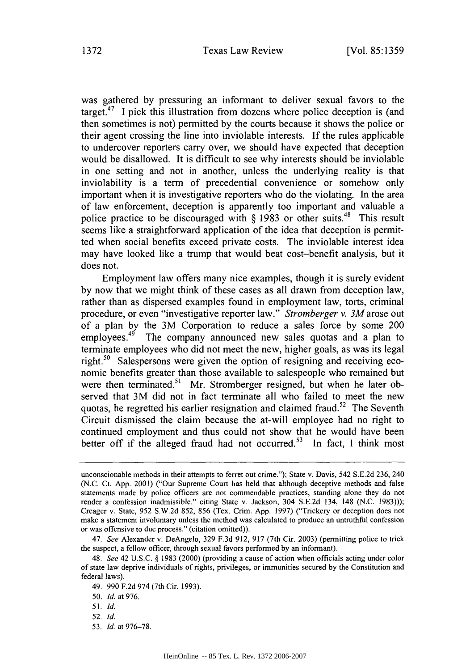was gathered by pressuring an informant to deliver sexual favors to the target.<sup>47</sup> I pick this illustration from dozens where police deception is (and then sometimes is not) permitted by the courts because it shows the police or their agent crossing the line into inviolable interests. If the rules applicable to undercover reporters carry over, we should have expected that deception would be disallowed. It is difficult to see why interests should be inviolable in one setting and not in another, unless the underlying reality is that inviolability is a term of precedential convenience or somehow only important when it is investigative reporters who do the violating. In the area of law enforcement, deception is apparently too important and valuable a police practice to be discouraged with  $\S$  1983 or other suits.<sup>48</sup> This result seems like a straightforward application of the idea that deception is permitted when social benefits exceed private costs. The inviolable interest idea may have looked like a trump that would beat cost-benefit analysis, but it does not.

Employment law offers many nice examples, though it is surely evident by now that we might think of these cases as all drawn from deception law, rather than as dispersed examples found in employment law, torts, criminal procedure, or even "investigative reporter law." *Stromberger v. 3M* arose out of a plan by the 3M Corporation to reduce a sales force by some 200 employees.<sup>49</sup> The company announced new sales quotas and a plan to terminate employees who did not meet the new, higher goals, as was its legal right.<sup>50</sup> Salespersons were given the option of resigning and receiving economic benefits greater than those available to salespeople who remained but were then terminated.<sup>51</sup> Mr. Stromberger resigned, but when he later observed that 3M did not in fact terminate all who failed to meet the new quotas, he regretted his earlier resignation and claimed fraud.<sup>52</sup> The Seventh Circuit dismissed the claim because the at-will employee had no right to continued employment and thus could not show that he would have been better off if the alleged fraud had not occurred.<sup>53</sup> In fact, I think most

53. *Id.* at 976-78.

unconscionable methods in their attempts to ferret out crime."); State v. Davis, 542 S.E.2d 236, 240 (N.C. Ct. App. 2001) ("Our Supreme Court has held that although deceptive methods and false statements made by police officers are not commendable practices, standing alone they do not render a confession inadmissible." citing State v. Jackson, 304 S.E.2d 134, 148 (N.C. 1983))); Creager v. State, 952 S.W.2d 852, 856 (Tex. Crim. App. 1997) ("Trickery or deception does not make a statement involuntary unless the method was calculated to produce an untruthful confession or was offensive to due process." (citation omitted)).

<sup>47.</sup> *See* Alexander v. DeAngelo, 329 F.3d 912, 917 (7th Cir. 2003) (permitting police to trick the suspect, a fellow officer, through sexual favors performed by an informant).

<sup>48.</sup> *See* 42 U.S,C. § 1983 (2000) (providing a cause of action when officials acting under color of state law deprive individuals of rights, privileges, or immunities secured by the Constitution and federal laws).

<sup>49. 990</sup> F.2d 974 (7th Cir. 1993).

<sup>50.</sup> *Id.* at 976.

<sup>51.</sup> *Id.*

<sup>52.</sup> *Id.*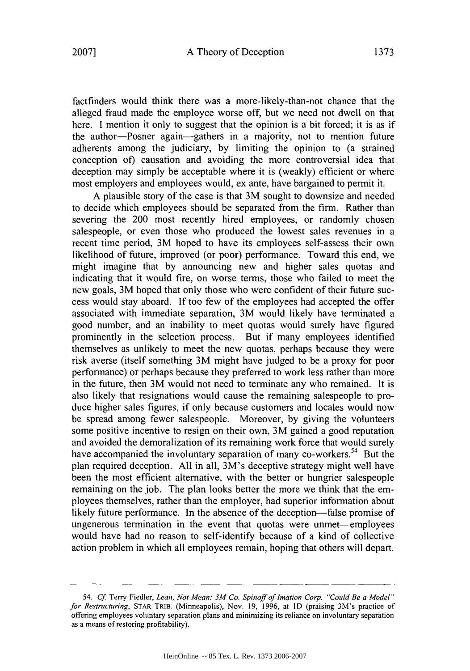factfinders would think there was a more-likely-than-not chance that the alleged fraud made the employee worse off, but we need not dwell on that here. I mention it only to suggest that the opinion is a bit forced; it is as if the author-Posner again-gathers in a majority, not to mention future adherents among the judiciary, by limiting the opinion to (a strained conception of) causation and avoiding the more controversial idea that deception may simply be acceptable where it is (weakly) efficient or where most employers and employees would, ex ante, have bargained to permit it.

A plausible story of the case is that 3M sought to downsize and needed to decide which employees should be separated from the firm. Rather than severing the 200 most recently hired employees, or randomly chosen salespeople, or even those who produced the lowest sales revenues in a recent time period, 3M hoped to have its employees self-assess their own likelihood of future, improved (or poor) performance. Toward this end, we might imagine that by announcing new and higher sales quotas and indicating that it would fire, on worse terms, those who failed to meet the new goals, 3M hoped that only those who were confident of their future success would stay aboard. If too few of the employees had accepted the offer associated with immediate separation, 3M would likely have terminated a good number, and an inability to meet quotas would surely have figured prominently in the selection process. But if many employees identified themselves as unlikely to meet the new quotas, perhaps because they were risk averse (itself something 3M might have judged to be a proxy for poor performance) or perhaps because they preferred to work less rather than more in the future, then 3M would not need to terminate any who remained. It is also likely that resignations would cause the remaining salespeople to produce higher sales figures, if only because customers and locales would now be spread among fewer salespeople. Moreover, by giving the volunteers some positive incentive to resign on their own, 3M gained a good reputation and avoided the demoralization of its remaining work force that would surely have accompanied the involuntary separation of many co-workers.<sup>54</sup> But the plan required deception. All in all, 3M's deceptive strategy might well have been the most efficient alternative, with the better or hungrier salespeople remaining on the job. The plan looks better the more we think that the employees themselves, rather than the employer, had superior information about likely future performance. In the absence of the deception—false promise of ungenerous termination in the event that quotas were unmet--employees would have had no reason to self-identify because of a kind of collective action problem in which all employees remain, hoping that others will depart.

<sup>54.</sup> *Cf* Terry Fiedler, *Lean, Not Mean: 3M Co. Spinoff of Imation Corp. "Could Be a Model " for Restructuring,* STAR TRIB. (Minneapolis), Nov. 19, 1996, at **ID** (praising 3M's practice of offering employees voluntary separation plans and minimizing its reliance on involuntary separation as a means of restoring profitability).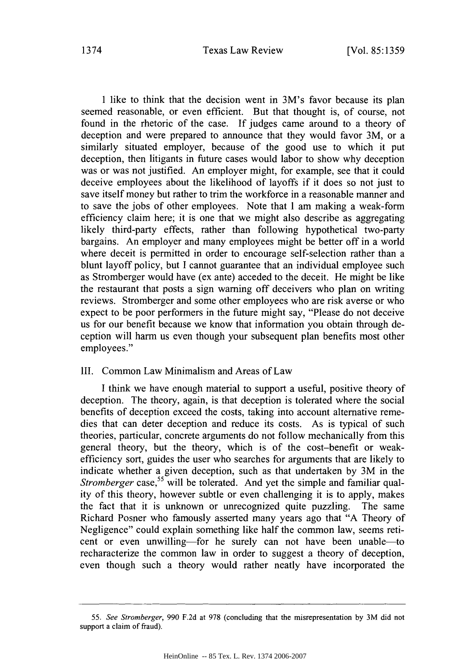#### Texas Law Review 1374 [Vol. **85:1359**

I like to think that the decision went in 3M's favor because its plan seemed reasonable, or even efficient. But that thought is, of course, not found in the rhetoric of the case. If judges came around to a theory of deception and were prepared to announce that they would favor 3M, or a similarly situated employer, because of the good use to which it put deception, then litigants in future cases would labor to show why deception was or was not justified. An employer might, for example, see that it could deceive employees about the likelihood of layoffs if it does so not just to save itself money but rather to trim the workforce in a reasonable manner and to save the jobs of other employees. Note that I am making a weak-form efficiency claim here; it is one that we might also describe as aggregating likely third-party effects, rather than following hypothetical two-party bargains. An employer and many employees might be better off in a world where deceit is permitted in order to encourage self-selection rather than a blunt layoff policy, but I cannot guarantee that an individual employee such as Stromberger would have (ex ante) acceded to the deceit. He might be like the restaurant that posts a sign warning off deceivers who plan on writing reviews. Stromberger and some other employees who are risk averse or who expect to be poor performers in the future might say, "Please do not deceive us for our benefit because we know that information you obtain through deception will harm us even though your subsequent plan benefits most other employees."

#### III. Common Law Minimalism and Areas of Law

I think we have enough material to support a useful, positive theory of deception. The theory, again, is that deception is tolerated where the social benefits of deception exceed the costs, taking into account alternative remedies that can deter deception and reduce its costs. As is typical of such theories, particular, concrete arguments do not follow mechanically from this general theory, but the theory, which is of the cost-benefit or weakefficiency sort, guides the user who searches for arguments that are likely to indicate whether a given deception, such as that undertaken by 3M in the *Stromberger* case,<sup>55</sup> will be tolerated. And yet the simple and familiar quality of this theory, however subtle or even challenging it is to apply, makes the fact that it is unknown or unrecognized quite puzzling. The same Richard Posner who famously asserted many years ago that "A Theory of Negligence" could explain something like half the common law, seems reticent or even unwilling-for he surely can not have been unable-to recharacterize the common law in order to suggest a theory of deception, even though such a theory would rather neatly have incorporated the

<sup>55.</sup> *See Stromberger,* 990 F.2d at 978 (concluding that the misrepresentation by 3M did not support a claim of fraud).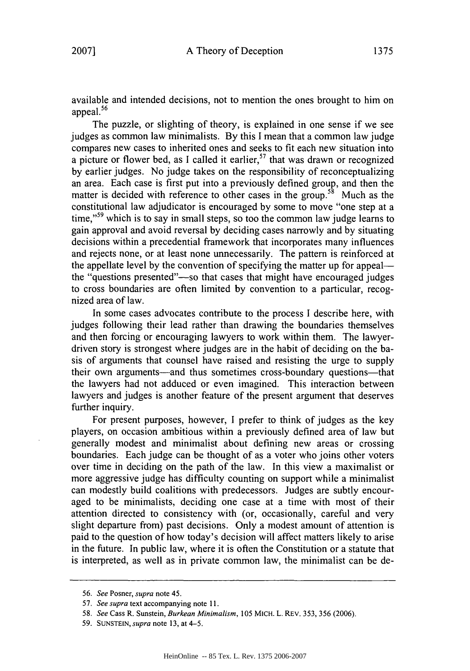available and intended decisions, not to mention the ones brought to him on appeal.<sup>56</sup>

The puzzle, or slighting of theory, is explained in one sense if we see judges as common law minimalists. By this I mean that a common law judge compares new cases to inherited ones and seeks to fit each new situation into a picture or flower bed, as I called it earlier,  $57$  that was drawn or recognized by earlier judges. No judge takes on the responsibility of reconceptualizing an area. Each case is first put into a previously defined group, and then the matter is decided with reference to other cases in the group.<sup>58</sup> Much as the constitutional law adjudicator is encouraged by some to move "one step at a time,"<sup>59</sup> which is to say in small steps, so too the common law judge learns to gain approval and avoid reversal by deciding cases narrowly and by situating decisions within a precedential framework that incorporates many influences and rejects none, or at least none unnecessarily. The pattern is reinforced at the appellate level by the convention of specifying the matter up for appealthe "questions presented"—so that cases that might have encouraged judges to cross boundaries are often limited by convention to a particular, recognized area of law.

In some cases advocates contribute to the process I describe here, with judges following their lead rather than drawing the boundaries themselves and then forcing or encouraging lawyers to work within them. The lawyerdriven story is strongest where judges are in the habit of deciding on the basis of arguments that counsel have raised and resisting the urge to supply their own arguments—and thus sometimes cross-boundary questions—that the lawyers had not adduced or even imagined. This interaction between lawyers and judges is another feature of the present argument that deserves further inquiry.

For present purposes, however, I prefer to think of judges as the key players, on occasion ambitious within a previously defined area of law but generally modest and minimalist about defining new areas or crossing boundaries. Each judge can be thought of as a voter who joins other voters over time in deciding on the path of the law. In this view a maximalist or more aggressive judge has difficulty counting on support while a minimalist can modestly build coalitions with predecessors. Judges are subtly encouraged to be minimalists, deciding one case at a time with most of their attention directed to consistency with (or, occasionally, careful and very slight departure from) past decisions. Only a modest amount of attention is paid to the question of how today's decision will affect matters likely to arise in the future. In public law, where it is often the Constitution or a statute that is interpreted, as well as in private common law, the minimalist can be de-

<sup>56.</sup> *See* Posner, *supra* note 45.

*<sup>57.</sup> See supra* text accompanying note 11.

<sup>58.</sup> *See* Cass R. Sunstein, *Burkean Minimalism,* 105 MICH. L. REV. 353, 356 (2006).

<sup>59.</sup> SUNSTEIN, *supra* note 13, at 4-5.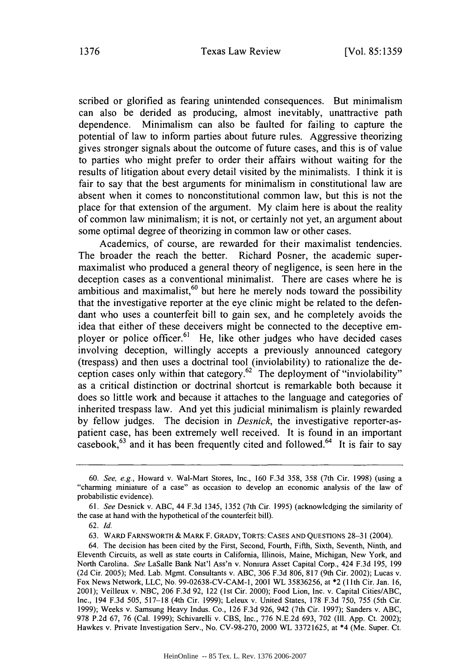scribed or glorified as fearing unintended consequences. But minimalism can also be derided as producing, almost inevitably, unattractive path dependence. Minimalism can also be faulted for failing to capture the potential of law to inform parties about future rules. Aggressive theorizing gives stronger signals about the outcome of future cases, and this is of value to parties who might prefer to order their affairs without waiting for the results of litigation about every detail visited by the minimalists. I think it is fair to say that the best arguments for minimalism in constitutional law are absent when it comes to nonconstitutional common law, but this is not the place for that extension of the argument. My claim here is about the reality of common law minimalism; it is not, or certainly not yet, an argument about some optimal degree of theorizing in common law or other cases.

Academics, of course, are rewarded for their maximalist tendencies. The broader the reach the better. Richard Posner, the academic supermaximalist who produced a general theory of negligence, is seen here in the deception cases as a conventional minimalist. There are cases where he is ambitious and maximalist, $60$  but here he merely nods toward the possibility that the investigative reporter at the eye clinic might be related to the defendant who uses a counterfeit bill to gain sex, and he completely avoids the idea that either of these deceivers might be connected to the deceptive employer or police officer.<sup>61</sup> He, like other judges who have decided cases involving deception, willingly accepts a previously announced category (trespass) and then uses a doctrinal tool (inviolability) to rationalize the deception cases only within that category.<sup>62</sup> The deployment of "inviolability" as a critical distinction or doctrinal shortcut is remarkable both because it does so little work and because it attaches to the language and categories of inherited trespass law. And yet this judicial minimalism is plainly rewarded by fellow judges. The decision in *Desnick,* the investigative reporter-aspatient case, has been extremely well received. It is found in an important casebook,<sup>63</sup> and it has been frequently cited and followed.<sup>64</sup> It is fair to say

<sup>60.</sup> *See, e.g.,* Howard v. Wal-Mart Stores, Inc., 160 F.3d 358, 358 (7th Cir. 1998) (using a "charming miniature of a case" as occasion to develop an economic analysis of the law of probabilistic evidence).

<sup>61.</sup> *See* Desnick v. ABC, 44 F.3d 1345, 1352 (7th Cir. 1995) (acknowledging the similarity of the case at hand with the hypothetical of the counterfeit bill).

<sup>62.</sup> *Id.*

<sup>63.</sup> WARD FARNSWORTH **&** MARK F. GRADY, TORTS: **CASES AND QUESTIONS** 28-31 (2004).

<sup>64.</sup> The decision has been cited by the First, Second, Fourth, Fifth, Sixth, Seventh, Ninth, and Eleventh Circuits, as well as state courts in California, Illinois, Maine, Michigan, New York, and North Carolina. *See* LaSalle Bank Nat'l Ass'n v. Nomura Asset Capital Corp., 424 F.3d 195, 199 (2d Cir. 2005); Med. Lab. Mgmt. Consultants v. ABC, 306 F.3d 806, 817 (9th Cir. 2002); Lucas v. Fox News Network, LLC, No. 99-02638-CV-CAM-I, 2001 WL 35836256, at \*2 (1 1th Cir. Jan. 16, 2001); Veilleux v. NBC, 206 F.3d 92, 122 (1st Cir. 2000); Food Lion, Inc. v. Capital Cities/ABC, Inc., 194 F.3d 505, 517-18 (4th Cir. 1999); Leleux v. United States, 178 F.3d 750, 755 (5th Cir. 1999); Weeks v. Samsung Heavy Indus. Co., 126 F.3d 926, 942 (7th Cir. 1997); Sanders v. ABC, 978 P.2d 67, 76 (Cal. 1999); Schivarelli v. CBS, Inc., 776 N.E.2d 693, 702 (Ill. App. Ct. 2002); Hawkes v. Private Investigation Serv., No. CV-98-270, 2000 WL 33721625, at \*4 (Me. Super. Ct.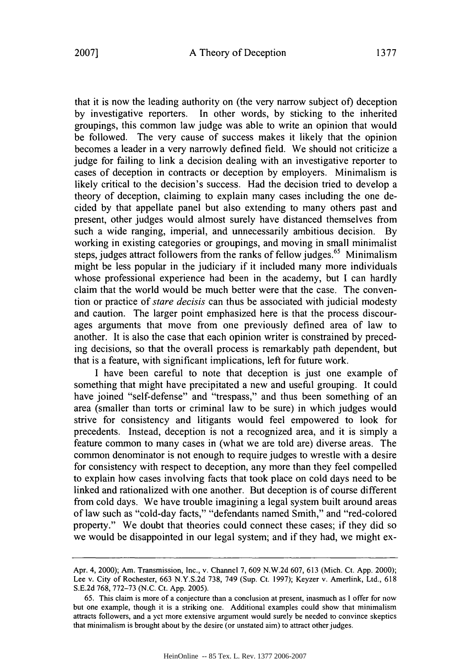that it is now the leading authority on (the very narrow subject of) deception by investigative reporters. In other words, by sticking to the inherited groupings, this common law judge was able to write an opinion that would be followed. The very cause of success makes it likely that the opinion becomes a leader in a very narrowly defined field. We should not criticize a judge for failing to link a decision dealing with an investigative reporter to cases of deception in contracts or deception by employers. Minimalism is likely critical to the decision's success. Had the decision tried to develop a theory of deception, claiming to explain many cases including the one decided by that appellate panel but also extending to many others past and present, other judges would almost surely have distanced themselves from such a wide ranging, imperial, and unnecessarily ambitious decision. By working in existing categories or groupings, and moving in small minimalist steps, judges attract followers from the ranks of fellow judges.<sup>65</sup> Minimalism might be less popular in the judiciary if it included many more individuals whose professional experience had been in the academy, but I can hardly claim that the world would be much better were that the case. The convention or practice of *stare decisis* can thus be associated with judicial modesty and caution. The larger point emphasized here is that the process discourages arguments that move from one previously defined area of law to another. It is also the case that each opinion writer is constrained by preceding decisions, so that the overall process is remarkably path dependent, but that is a feature, with significant implications, left for future work.

I have been careful to note that deception is just one example of something that might have precipitated a new and useful grouping. It could have joined "self-defense" and "trespass," and thus been something of an area (smaller than torts or criminal law to be sure) in which judges would strive for consistency and litigants would feel empowered to look for precedents. Instead, deception is not a recognized area, and it is simply a feature common to many cases in (what we are told are) diverse areas. The common denominator is not enough to require judges to wrestle with a desire for consistency with respect to deception, any more than they feel compelled to explain how cases involving facts that took place on cold days need to be linked and rationalized with one another. But deception is of course different from cold days. We have trouble imagining a legal system built around areas of law such as "cold-day facts," "defendants named Smith," and "red-colored property." We doubt that theories could connect these cases; if they did so we would be disappointed in our legal system; and if they had, we might ex-

Apr. *4,* 2000); Am. Transmission, Inc., v. Channel **7,** 609 N.W.2d 607, 613 (Mich. Ct. App. 2000); Lee v. City of Rochester, 663 N.Y.S.2d 738, 749 (Sup. Ct. 1997); Keyzer v. Amerlink, Ltd., 618 S.E.2d 768, 772-73 (N.C. Ct. App. 2005).

<sup>65.</sup> This claim is more of a conjecture than a conclusion at present, inasmuch as I offer for now but one example, though it is a striking one. Additional examples could show that minimalism attracts followers, and a yet more extensive argument would surely be needed to convince skeptics that minimalism is brought about by the desire (or unstated aim) to attract other judges.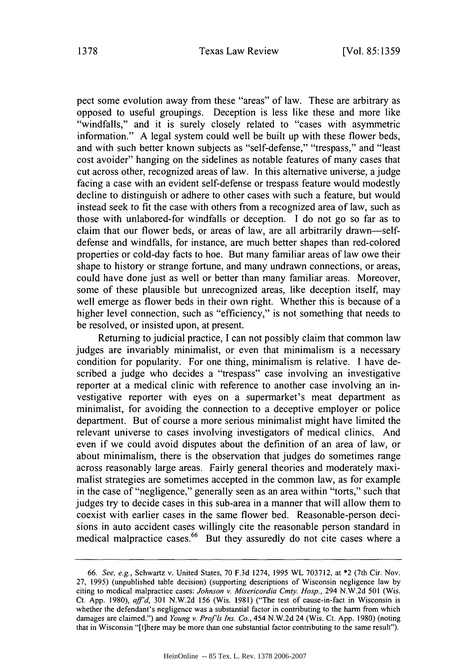pect some evolution away from these "areas" of law. These are arbitrary as opposed to useful groupings. Deception is less like these and more like "windfalls," and it is surely closely related to "cases with asymmetric information." A legal system could well be built up with these flower beds, and with such better known subjects as "self-defense," "trespass," and "least cost avoider" hanging on the sidelines as notable features of many cases that cut across other, recognized areas of law. In this alternative universe, a judge facing a case with an evident self-defense or trespass feature would modestly decline to distinguish or adhere to other cases with such a feature, but would instead seek to fit the case with others from a recognized area of law, such as those with unlabored-for windfalls or deception. I do not go so far as to claim that our flower beds, or areas of law, are all arbitrarily drawn-selfdefense and windfalls, for instance, are much better shapes than red-colored properties or cold-day facts to hoe. But many familiar areas of law owe their shape to history or strange fortune, and many undrawn connections, or areas, could have done just as well or better than many familiar areas. Moreover, some of these plausible but unrecognized areas, like deception itself, may well emerge as flower beds in their own right. Whether this is because of a higher level connection, such as "efficiency," is not something that needs to be resolved, or insisted upon, at present.

Returning to judicial practice, I can not possibly claim that common law judges are invariably minimalist, or even that minimalism is a necessary condition for popularity. For one thing, minimalism is relative. I have described a judge who decides a "trespass" case involving an investigative reporter at a medical clinic with reference to another case involving an investigative reporter with eyes on a supermarket's meat department as minimalist, for avoiding the connection to a deceptive employer or police department. But of course a more serious minimalist might have limited the relevant universe to cases involving investigators of medical clinics. And even if we could avoid disputes about the definition of an area of law, or about minimalism, there is the observation that judges do sometimes range across reasonably large areas. Fairly general theories and moderately maximalist strategies are sometimes accepted in the common law, as for example in the case of "negligence," generally seen as an area within "torts," such that judges try to decide cases in this sub-area in a manner that will allow them to coexist with earlier cases in the same flower bed. Reasonable-person decisions in auto accident cases willingly cite the reasonable person standard in medical malpractice cases.<sup>66</sup> But they assuredly do not cite cases where a

*<sup>66.</sup> See, e.g.,* Schwartz v. United States, 70 F.3d 1274, 1995 WL 703712, at \*2 (7th Cir. Nov. **27,** 1995) (unpublished table decision) (supporting descriptions of Wisconsin negligence law by citing to medical malpractice cases: *Johnson v. Misericordia Cmty. Hosp.,* 294 N.W.2d 501 (Wis. Ct. App. 1980), *aff'd,* 301 N.W.2d 156 (Wis. 1981) ("The test of cause-in-fact in Wisconsin is whether the defendant's negligence was a substantial factor in contributing to the harm from which damages are claimed.") and *Young v. Prof is Ins. Co.,* 454 N.W.2d 24 (Wis. Ct. App. 1980) (noting that in Wisconsin "[t]here may be more than one substantial factor contributing to the same result").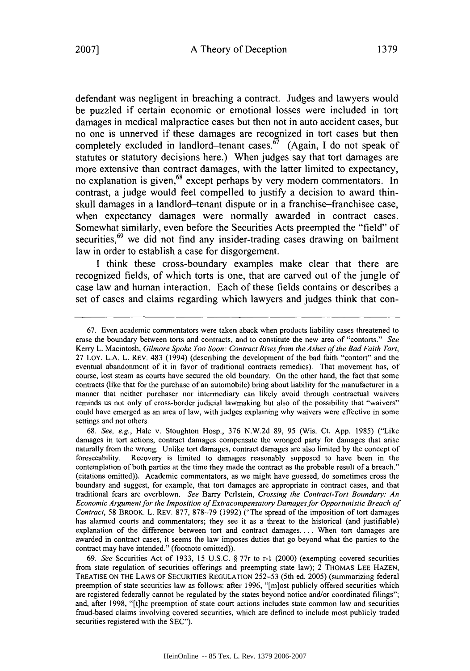defendant was negligent in breaching a contract. Judges and lawyers would be puzzled if certain economic or emotional losses were included in tort damages in medical malpractice cases but then not in auto accident cases, but no one is unnerved if these damages are recognized in tort cases but then completely excluded in landlord-tenant cases.<sup> $\vec{\delta}$ </sup> (Again, I do not speak of statutes or statutory decisions here.) When judges say that tort damages are more extensive than contract damages, with the latter limited to expectancy, no explanation is given,<sup>68</sup> except perhaps by very modern commentators. In contrast, a judge would feel compelled to justify a decision to award thinskull damages in a landlord-tenant dispute or in a franchise-franchisee case, when expectancy damages were normally awarded in contract cases. Somewhat similarly, even before the Securities Acts preempted the "field" of securities,<sup>69</sup> we did not find any insider-trading cases drawing on bailment law in order to establish a case for disgorgement.

I think these cross-boundary examples make clear that there are recognized fields, of which torts is one, that are carved out of the jungle of case law and human interaction. Each of these fields contains or describes a set of cases and claims regarding which lawyers and judges think that con-

69. *See* Securities Act of 1933, 15 U.S.C. § 77r to r-1 (2000) (exempting covered securities from state regulation of securities offerings and preempting state law); 2 THOMAS LEE **HAZEN,** TREATISE ON THE LAWS OF **SECURITIES REGULATION** 252-53 (5th ed. 2005) (summarizing federal preemption of state securities law as follows: after 1996, "[m]ost publicly offered securities which are registered federally cannot be regulated by the states beyond notice and/or coordinated filings"; and, after 1998, "[t]he preemption of state court actions includes state common law and securities fraud-based claims involving covered securities, which are defined to include most publicly traded securities registered with the SEC").

<sup>67.</sup> Even academic commentators were taken aback when products liability cases threatened to erase the boundary between torts and contracts, and to constitute the new area of "contorts." See Kerry L. Macintosh, Gilmore Spoke *Too Soon: Contract Rises from the Ashes of the Bad Faith Tort,* 27 LOY. L.A. L. REV. 483 (1994) (describing the development of the bad faith "contort" and the eventual abandonment of it in favor of traditional contracts remedies). That movement has, of course, lost steam as courts have secured the old boundary, On the other hand, the fact that some contracts (like that for the purchase of an automobile) bring about liability for the manufacturer in a manner that neither purchaser nor intermediary can likely avoid through contractual waivers reminds us not only of cross-border judicial lawmaking but also of the possibility that "waivers" could have emerged as an area of law, with judges explaining why waivers were effective in some settings and not others.

<sup>68.</sup> *See, e.g.,* Hale v. Stoughton Hosp., 376 N.W.2d 89, 95 (Wis. Ct. App. 1985) ("Like damages in tort actions, contract damages compensate the wronged party for damages that arise naturally from the wrong. Unlike tort damages, contract damages are also limited by the concept of foreseeability. Recovery is limited to damages reasonably supposed to have been in the contemplation of both parties at the time they made the contract as the probable result of a breach." (citations omitted)). Academic commentators, as we might have guessed, do sometimes cross the boundary and suggest, for example, that tort damages are appropriate in contract cases, and that traditional fears are overblown. *See* Barry Perlstein, *Crossing the Contract-Tort Boundary: An* Economic *Argument for the Imposition of Extracompensatory Damages for Opportunistic Breach of Contract,* 58 BROOK. L. REV. 877, 878-79 (1992) ("The spread of the imposition of tort damages has alarmed courts and commentators; they see it as a threat to the historical (and justifiable) explanation of the difference between tort and contract damages.... When tort damages are awarded in contract cases, it seems the law imposes duties that go beyond what the parties to the contract may have intended." (footnote omitted)).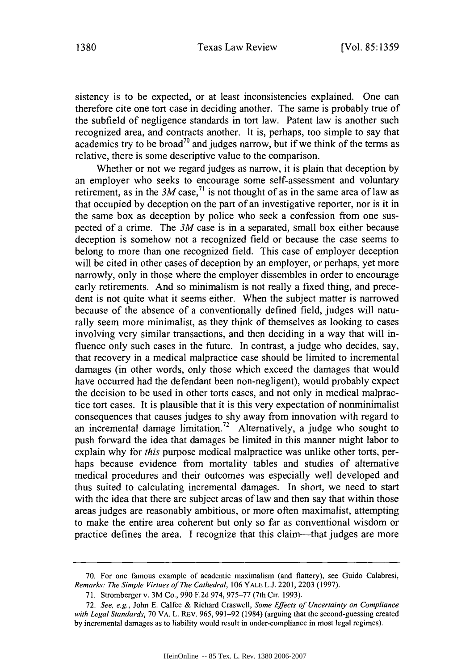sistency is to be expected, or at least inconsistencies explained. One can therefore cite one tort case in deciding another. The same is probably true of the subfield of negligence standards in tort law. Patent law is another such recognized area, and contracts another. It is, perhaps, too simple to say that academics try to be broad<sup>70</sup> and judges narrow, but if we think of the terms as relative, there is some descriptive value to the comparison.

Whether or not we regard judges as narrow, it is plain that deception by an employer who seeks to encourage some self-assessment and voluntary retirement, as in the  $3M$  case,<sup>71</sup> is not thought of as in the same area of law as that occupied by deception on the part of an investigative reporter, nor is it in the same box as deception by police who seek a confession from one suspected of a crime. The *3M* case is in a separated, small box either because deception is somehow not a recognized field or because the case seems to belong to more than one recognized field. This case of employer deception will be cited in other cases of deception by an employer, or perhaps, yet more narrowly, only in those where the employer dissembles in order to encourage early retirements. And so minimalism is not really a fixed thing, and precedent is not quite what it seems either. When the subject matter is narrowed because of the absence of a conventionally defined field, judges will naturally seem more minimalist, as they think of themselves as looking to cases involving very similar transactions, and then deciding in a way that will influence only such cases in the future. In contrast, a judge who decides, say, that recovery in a medical malpractice case should be limited to incremental damages (in other words, only those which exceed the damages that would have occurred had the defendant been non-negligent), would probably expect the decision to be used in other torts cases, and not only in medical malpractice tort cases. It is plausible that it is this very expectation of nonminimalist consequences that causes judges to shy away from innovation with regard to an incremental damage limitation.<sup>72</sup> Alternatively, a judge who sought to push forward the idea that damages be limited in this manner might labor to explain why for *this* purpose medical malpractice was unlike other torts, perhaps because evidence from mortality tables and studies of alternative medical procedures and their outcomes was especially well developed and thus suited to calculating incremental damages. In short, we need to start with the idea that there are subject areas of law and then say that within those areas judges are reasonably ambitious, or more often maximalist, attempting to make the entire area coherent but only so far as conventional wisdom or practice defines the area. I recognize that this claim-that judges are more

<sup>70.</sup> For one famous example of academic maximalism (and flattery), see Guido Calabresi, *Remarks: The Simple Virtues of The Cathedral,* 106 YALE L.J. 2201, 2203 (1997).

<sup>71.</sup> Stromberger v. 3M Co., 990 F.2d 974, 975-77 (7th Cir. 1993).

<sup>72.</sup> *See, e.g.,* John E. Calfee & Richard Craswell, *Some Effects of Uncertainty on Compliance with Legal Standards,* 70 VA. L. REv. 965, 991-92 (1984) (arguing that the second-guessing created by incremental damages as to liability would result in under-compliance in most legal regimes).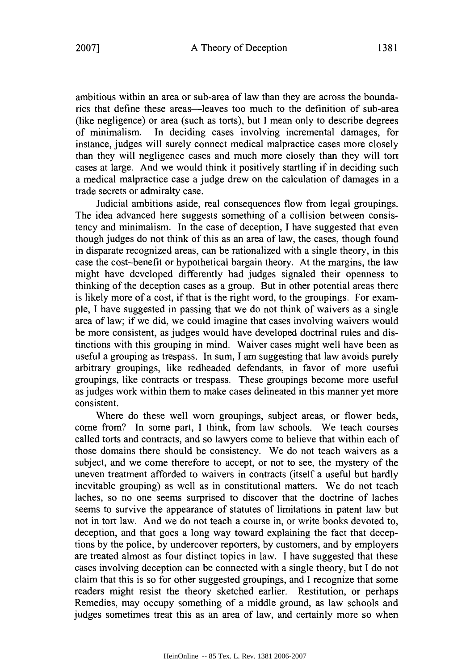ambitious within an area or sub-area of law than they are across the boundaries that define these areas—leaves too much to the definition of sub-area (like negligence) or area (such as torts), but I mean only to describe degrees of minimalism. In deciding cases involving incremental damages, for In deciding cases involving incremental damages, for instance, judges will surely connect medical malpractice cases more closely than they will negligence cases and much more closely than they will tort cases at large. And we would think it positively startling if in deciding such a medical malpractice case a judge drew on the calculation of damages in a trade secrets or admiralty case.

Judicial ambitions aside, real consequences flow from legal groupings. The idea advanced here suggests something of a collision between consistency and minimalism. In the case of deception, I have suggested that even though judges do not think of this as an area of law, the cases, though found in disparate recognized areas, can be rationalized with a single theory, in this case the cost-benefit or hypothetical bargain theory. At the margins, the law might have developed differently had judges signaled their openness to thinking of the deception cases as a group. But in other potential areas there is likely more of a cost, if that is the right word, to the groupings. For example, I have suggested in passing that we do not think of waivers as a single area of law; if we did, we could imagine that cases involving waivers would be more consistent, as judges would have developed doctrinal rules and distinctions with this grouping in mind. Waiver cases might well have been as useful a grouping as trespass. In sum, **I** am suggesting that law avoids purely arbitrary groupings, like redheaded defendants, in favor of more useful groupings, like contracts or trespass. These groupings become more useful as judges work within them to make cases delineated in this manner yet more consistent.

Where do these well worn groupings, subject areas, or flower beds, come from? In some part, I think, from law schools. We teach courses called torts and contracts, and so lawyers come to believe that within each of those domains there should be consistency. We do not teach waivers as a subject, and we come therefore to accept, or not to see, the mystery of the uneven treatment afforded to waivers in contracts (itself a useful but hardly inevitable grouping) as well as in constitutional matters. We do not teach laches, so no one seems surprised to discover that the doctrine of laches seems to survive the appearance of statutes of limitations in patent law but not in tort law. And we do not teach a course in, or write books devoted to, deception, and that goes a long way toward explaining the fact that deceptions by the police, by undercover reporters, by customers, and by employers are treated almost as four distinct topics in law. I have suggested that these cases involving deception can be connected with a single theory, but I do not claim that this is so for other suggested groupings, and I recognize that some readers might resist the theory sketched earlier. Restitution, or perhaps Remedies, may occupy something of a middle ground, as law schools and judges sometimes treat this as an area of law, and certainly more so when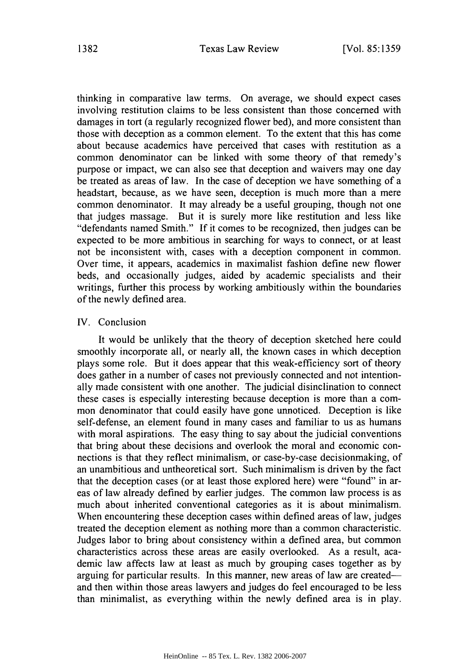thinking in comparative law terms. On average, we should expect cases involving restitution claims to be less consistent than those concerned with damages in tort (a regularly recognized flower bed), and more consistent than those with deception as a common element. To the extent that this has come about because academics have perceived that cases with restitution as a common denominator can be linked with some theory of that remedy's purpose or impact, we can also see that deception and waivers may one day be treated as areas of law. In the case of deception we have something of a headstart, because, as we have seen, deception is much more than a mere common denominator. It may already be a useful grouping, though not one that judges massage. But it is surely more like restitution and less like "defendants named Smith." If it comes to be recognized, then judges can be expected to be more ambitious in searching for ways to connect, or at least not be inconsistent with, cases with a deception component in common. Over time, it appears, academics in maximalist fashion define new flower beds, and occasionally judges, aided by academic specialists and their writings, further this process by working ambitiously within the boundaries of the newly defined area.

#### IV. Conclusion

It would be unlikely that the theory of deception sketched here could smoothly incorporate all, or nearly all, the known cases in which deception plays some role. But it does appear that this weak-efficiency sort of theory does gather in a number of cases not previously connected and not intentionally made consistent with one another. The judicial disinclination to connect these cases is especially interesting because deception is more than a common denominator that could easily have gone unnoticed. Deception is like self-defense, an element found in many cases and familiar to us as humans with moral aspirations. The easy thing to say about the judicial conventions that bring about these decisions and overlook the moral and economic connections is that they reflect minimalism, or case-by-case decisionmaking, of an unambitious and untheoretical sort. Such minimalism is driven by the fact that the deception cases (or at least those explored here) were "found" in areas of law already defined by earlier judges. The common law process is as much about inherited conventional categories as it is about minimalism. When encountering these deception cases within defined areas of law, judges treated the deception element as nothing more than a common characteristic. Judges labor to bring about consistency within a defined area, but common characteristics across these areas are easily overlooked. As a result, academic law affects law at least as much by grouping cases together as by arguing for particular results. In this manner, new areas of law are createdand then within those areas lawyers and judges do feel encouraged to be less than minimalist, as everything within the newly defined area is in play.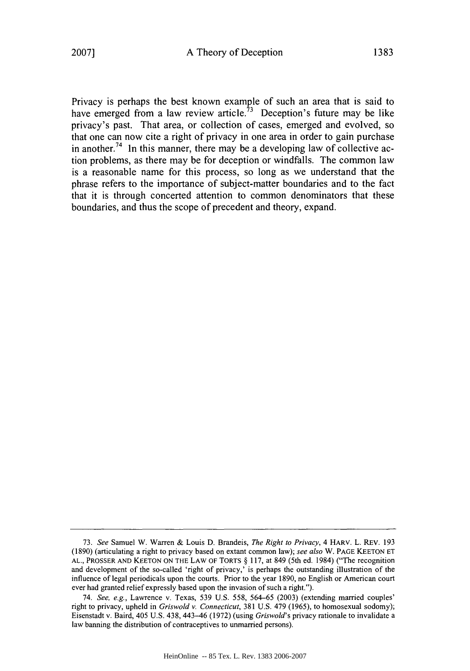Privacy is perhaps the best known example of such an area that is said to have emerged from a law review article.<sup> $73$ </sup> Deception's future may be like privacy's past. That area, or collection of cases, emerged and evolved, so that one can now cite a right of privacy in one area in order to gain purchase in another.<sup>74</sup> In this manner, there may be a developing law of collective action problems, as there may be for deception or windfalls. The common law is a reasonable name for this process, so long as we understand that the phrase refers to the importance of subject-matter boundaries and to the fact that it is through concerted attention to common denominators that these boundaries, and thus the scope of precedent and theory, expand.

<sup>73.</sup> *See* Samuel W. Warren & Louis D. Brandeis, *The Right to Privacy,* 4 HARV. L. REv. 193 (1890) (articulating a right to privacy based on extant common law); *see also* W. PAGE KEETON ET AL., PROSSER AND KEETON ON THE LAW OF TORTS § 117, at 849 (5th ed. 1984) ("The recognition and development of the so-called 'right of privacy,' is perhaps the outstanding illustration of the influence of legal periodicals upon the courts. Prior to the year 1890, no English or American court ever had granted relief expressly based upon the invasion of such a right.").

<sup>74.</sup> *See, e.g.,* Lawrence v. Texas, 539 U.S. 558, 564-65 (2003) (extending married couples' right to privacy, upheld in *Griswold v. Connecticut,* 381 U.S. 479 (1965), to homosexual sodomy); Eisenstadt v. Baird, 405 U.S. 438, 443-46 (1972) (using *Griswold's* privacy rationale to invalidate a law banning the distribution of contraceptives to unmarried persons).